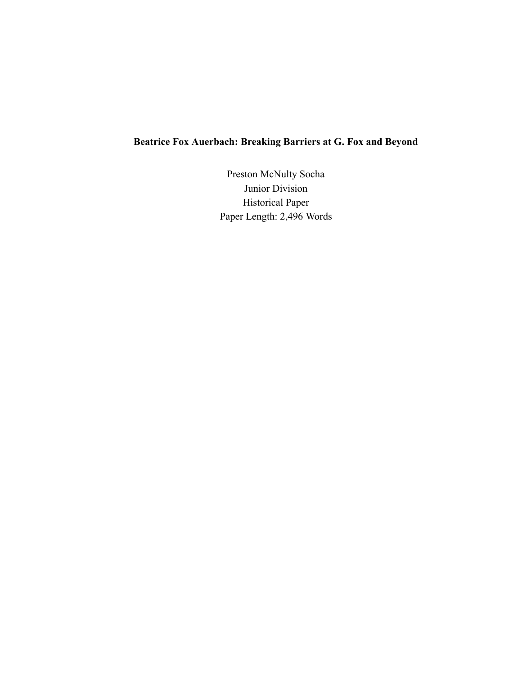# **Beatrice Fox Auerbach: Breaking Barriers at G. Fox and Beyond**

Preston McNulty Socha Junior Division Historical Paper Paper Length: 2,496 Words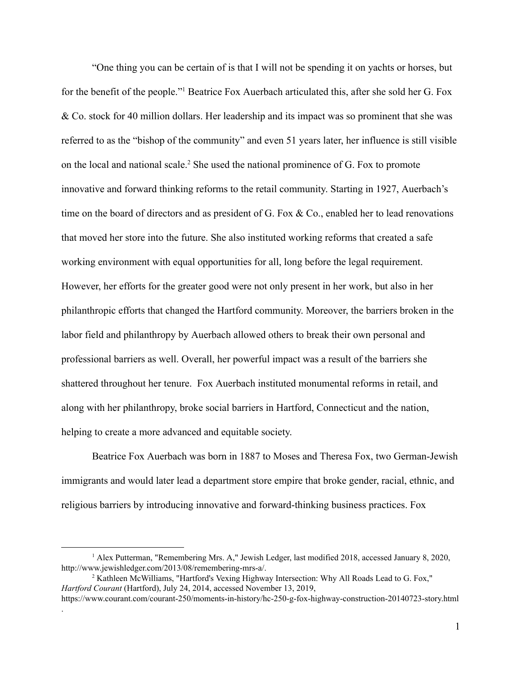"One thing you can be certain of is that I will not be spending it on yachts or horses, but for the benefit of the people."<sup>1</sup> Beatrice Fox Auerbach articulated this, after she sold her G. Fox & Co. stock for 40 million dollars. Her leadership and its impact was so prominent that she was referred to as the "bishop of the community" and even 51 years later, her influence is still visible on the local and national scale.<sup>2</sup> She used the national prominence of G. Fox to promote innovative and forward thinking reforms to the retail community. Starting in 1927, Auerbach's time on the board of directors and as president of G. Fox & Co., enabled her to lead renovations that moved her store into the future. She also instituted working reforms that created a safe working environment with equal opportunities for all, long before the legal requirement. However, her efforts for the greater good were not only present in her work, but also in her philanthropic efforts that changed the Hartford community. Moreover, the barriers broken in the labor field and philanthropy by Auerbach allowed others to break their own personal and professional barriers as well. Overall, her powerful impact was a result of the barriers she shattered throughout her tenure. Fox Auerbach instituted monumental reforms in retail, and along with her philanthropy, broke social barriers in Hartford, Connecticut and the nation, helping to create a more advanced and equitable society.

Beatrice Fox Auerbach was born in 1887 to Moses and Theresa Fox, two German-Jewish immigrants and would later lead a department store empire that broke gender, racial, ethnic, and religious barriers by introducing innovative and forward-thinking business practices. Fox

.

<sup>&</sup>lt;sup>1</sup> Alex Putterman, "Remembering Mrs. A," Jewish Ledger, last modified 2018, accessed January 8, 2020, http://www.jewishledger.com/2013/08/remembering-mrs-a/.

<sup>&</sup>lt;sup>2</sup> Kathleen McWilliams, "Hartford's Vexing Highway Intersection: Why All Roads Lead to G. Fox," *Hartford Courant* (Hartford), July 24, 2014, accessed November 13, 2019,

https://www.courant.com/courant-250/moments-in-history/hc-250-g-fox-highway-construction-20140723-story.html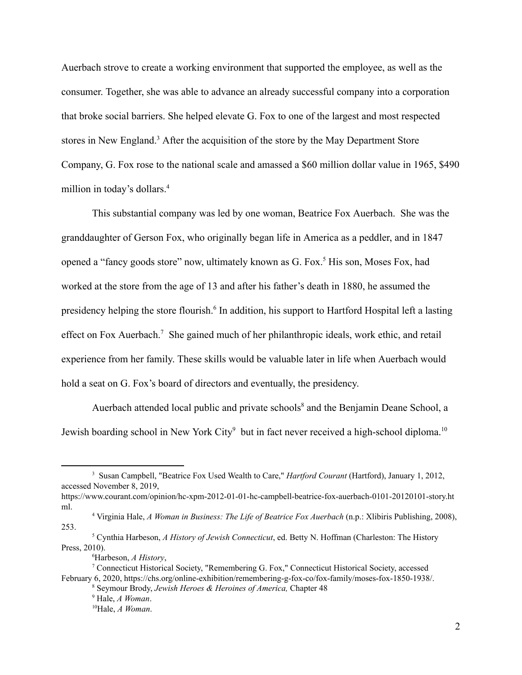Auerbach strove to create a working environment that supported the employee, as well as the consumer. Together, she was able to advance an already successful company into a corporation that broke social barriers. She helped elevate G. Fox to one of the largest and most respected stores in New England.<sup>3</sup> After the acquisition of the store by the May Department Store Company, G. Fox rose to the national scale and amassed a \$60 million dollar value in 1965, \$490 million in today's dollars.<sup>4</sup>

This substantial company was led by one woman, Beatrice Fox Auerbach. She was the granddaughter of Gerson Fox, who originally began life in America as a peddler, and in 1847 opened a "fancy goods store" now, ultimately known as G. Fox.<sup>5</sup> His son, Moses Fox, had worked at the store from the age of 13 and after his father's death in 1880, he assumed the presidency helping the store flourish.<sup>6</sup> In addition, his support to Hartford Hospital left a lasting effect on Fox Auerbach.<sup>7</sup> She gained much of her philanthropic ideals, work ethic, and retail experience from her family. These skills would be valuable later in life when Auerbach would hold a seat on G. Fox's board of directors and eventually, the presidency.

Auerbach attended local public and private schools<sup>8</sup> and the Benjamin Deane School, a Jewish boarding school in New York City<sup>9</sup> but in fact never received a high-school diploma.<sup>10</sup>

<sup>3</sup> Susan Campbell, "Beatrice Fox Used Wealth to Care," *Hartford Courant* (Hartford), January 1, 2012, accessed November 8, 2019,

https://www.courant.com/opinion/hc-xpm-2012-01-01-hc-campbell-beatrice-fox-auerbach-0101-20120101-story.ht ml.

<sup>4</sup> Virginia Hale, *A Woman in Business: The Life of Beatrice Fox Auerbach* (n.p.: Xlibiris Publishing, 2008), 253.

<sup>5</sup> Cynthia Harbeson, *A History of Jewish Connecticut*, ed. Betty N. Hoffman (Charleston: The History Press, 2010).

<sup>6</sup>Harbeson, *A History*,

<sup>7</sup> Connecticut Historical Society, "Remembering G. Fox," Connecticut Historical Society, accessed February 6, 2020, https://chs.org/online-exhibition/remembering-g-fox-co/fox-family/moses-fox-1850-1938/.

<sup>8</sup> Seymour Brody, *Jewish Heroes & Heroines of America,* Chapter 48

<sup>9</sup> Hale, *A Woman*.

<sup>10</sup>Hale, *A Woman*.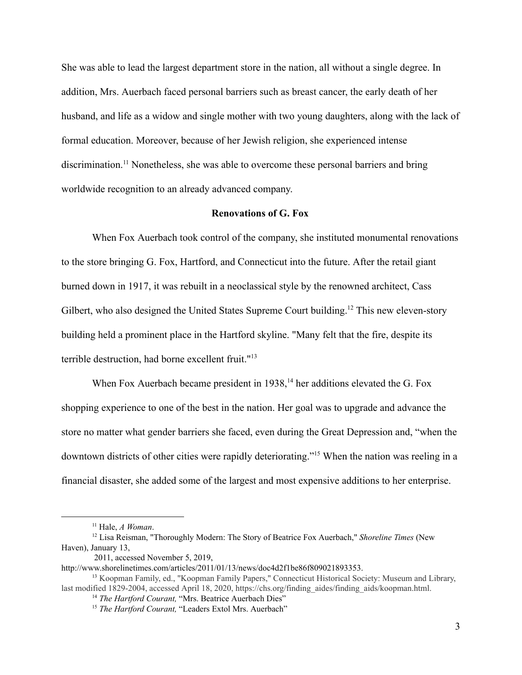She was able to lead the largest department store in the nation, all without a single degree. In addition, Mrs. Auerbach faced personal barriers such as breast cancer, the early death of her husband, and life as a widow and single mother with two young daughters, along with the lack of formal education. Moreover, because of her Jewish religion, she experienced intense discrimination.<sup>11</sup> Nonetheless, she was able to overcome these personal barriers and bring worldwide recognition to an already advanced company.

## **Renovations of G. Fox**

When Fox Auerbach took control of the company, she instituted monumental renovations to the store bringing G. Fox, Hartford, and Connecticut into the future. After the retail giant burned down in 1917, it was rebuilt in a neoclassical style by the renowned architect, Cass Gilbert, who also designed the United States Supreme Court building.<sup>12</sup> This new eleven-story building held a prominent place in the Hartford skyline. "Many felt that the fire, despite its terrible destruction, had borne excellent fruit."<sup>13</sup>

When Fox Auerbach became president in  $1938$ ,<sup>14</sup> her additions elevated the G. Fox shopping experience to one of the best in the nation. Her goal was to upgrade and advance the store no matter what gender barriers she faced, even during the Great Depression and, "when the downtown districts of other cities were rapidly deteriorating."<sup>15</sup> When the nation was reeling in a financial disaster, she added some of the largest and most expensive additions to her enterprise.

<sup>11</sup> Hale, *A Woman*.

<sup>12</sup> Lisa Reisman, "Thoroughly Modern: The Story of Beatrice Fox Auerbach," *Shoreline Times* (New Haven), January 13,

<sup>2011,</sup> accessed November 5, 2019,

http://www.shorelinetimes.com/articles/2011/01/13/news/doc4d2f1be86f809021893353.

<sup>&</sup>lt;sup>13</sup> Koopman Family, ed., "Koopman Family Papers," Connecticut Historical Society: Museum and Library, last modified 1829-2004, accessed April 18, 2020, https://chs.org/finding\_aides/finding\_aids/koopman.html.

<sup>&</sup>lt;sup>14</sup> The Hartford Courant, "Mrs. Beatrice Auerbach Dies"

<sup>&</sup>lt;sup>15</sup> *The Hartford Courant*, "Leaders Extol Mrs. Auerbach"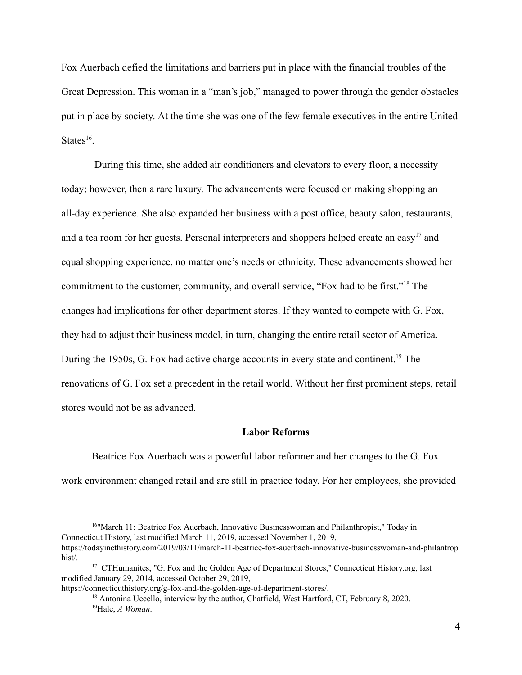Fox Auerbach defied the limitations and barriers put in place with the financial troubles of the Great Depression. This woman in a "man's job," managed to power through the gender obstacles put in place by society. At the time she was one of the few female executives in the entire United States $^{16}$ .

 During this time, she added air conditioners and elevators to every floor, a necessity today; however, then a rare luxury. The advancements were focused on making shopping an all-day experience. She also expanded her business with a post office, beauty salon, restaurants, and a tea room for her guests. Personal interpreters and shoppers helped create an easy<sup>17</sup> and equal shopping experience, no matter one's needs or ethnicity. These advancements showed her commitment to the customer, community, and overall service, "Fox had to be first."<sup>18</sup> The changes had implications for other department stores. If they wanted to compete with G. Fox, they had to adjust their business model, in turn, changing the entire retail sector of America. During the 1950s, G. Fox had active charge accounts in every state and continent.<sup>19</sup> The renovations of G. Fox set a precedent in the retail world. Without her first prominent steps, retail stores would not be as advanced.

### **Labor Reforms**

Beatrice Fox Auerbach was a powerful labor reformer and her changes to the G. Fox work environment changed retail and are still in practice today. For her employees, she provided

<sup>16</sup>"March 11: Beatrice Fox Auerbach, Innovative Businesswoman and Philanthropist," Today in Connecticut History, last modified March 11, 2019, accessed November 1, 2019, https://todayincthistory.com/2019/03/11/march-11-beatrice-fox-auerbach-innovative-businesswoman-and-philantrop hist/.

<sup>&</sup>lt;sup>17</sup> CTHumanites, "G. Fox and the Golden Age of Department Stores," Connecticut History.org, last modified January 29, 2014, accessed October 29, 2019,

https://connecticuthistory.org/g-fox-and-the-golden-age-of-department-stores/.

<sup>&</sup>lt;sup>18</sup> Antonina Uccello, interview by the author, Chatfield, West Hartford, CT, February 8, 2020. <sup>19</sup>Hale, *A Woman*.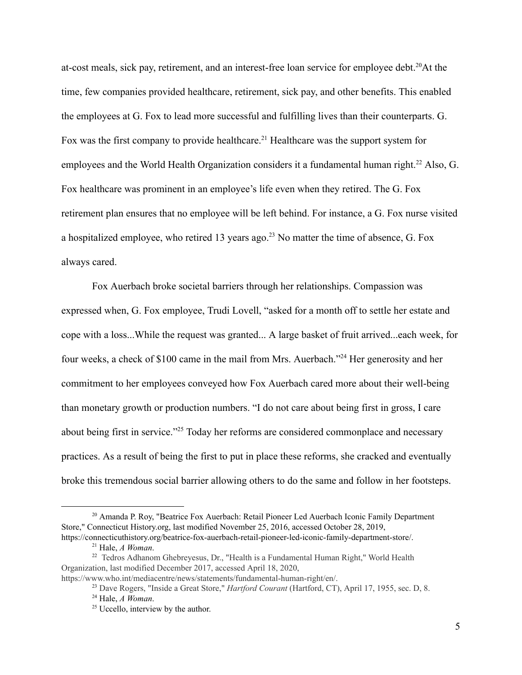at-cost meals, sick pay, retirement, and an interest-free loan service for employee debt.<sup>20</sup>At the time, few companies provided healthcare, retirement, sick pay, and other benefits. This enabled the employees at G. Fox to lead more successful and fulfilling lives than their counterparts. G. Fox was the first company to provide healthcare.<sup>21</sup> Healthcare was the support system for employees and the World Health Organization considers it a fundamental human right.<sup>22</sup> Also, G. Fox healthcare was prominent in an employee's life even when they retired. The G. Fox retirement plan ensures that no employee will be left behind. For instance, a G. Fox nurse visited a hospitalized employee, who retired 13 years ago.<sup>23</sup> No matter the time of absence, G. Fox always cared.

Fox Auerbach broke societal barriers through her relationships. Compassion was expressed when, G. Fox employee, Trudi Lovell, "asked for a month off to settle her estate and cope with a loss...While the request was granted... A large basket of fruit arrived...each week, for four weeks, a check of \$100 came in the mail from Mrs. Auerbach."<sup>24</sup> Her generosity and her commitment to her employees conveyed how Fox Auerbach cared more about their well-being than monetary growth or production numbers. "I do not care about being first in gross, I care about being first in service."<sup>25</sup> Today her reforms are considered commonplace and necessary practices. As a result of being the first to put in place these reforms, she cracked and eventually broke this tremendous social barrier allowing others to do the same and follow in her footsteps.

https://www.who.int/mediacentre/news/statements/fundamental-human-right/en/.

<sup>&</sup>lt;sup>20</sup> Amanda P. Roy, "Beatrice Fox Auerbach: Retail Pioneer Led Auerbach Iconic Family Department Store," Connecticut History.org, last modified November 25, 2016, accessed October 28, 2019, https://connecticuthistory.org/beatrice-fox-auerbach-retail-pioneer-led-iconic-family-department-store/.

<sup>21</sup> Hale, *A Woman*.

<sup>&</sup>lt;sup>22</sup> Tedros Adhanom Ghebreyesus, Dr., "Health is a Fundamental Human Right," World Health Organization, last modified December 2017, accessed April 18, 2020,

<sup>23</sup> Dave Rogers, "Inside a Great Store," *Hartford Courant* (Hartford, CT), April 17, 1955, sec. D, 8.

<sup>24</sup> Hale, *A Woman*.

<sup>&</sup>lt;sup>25</sup> Uccello, interview by the author.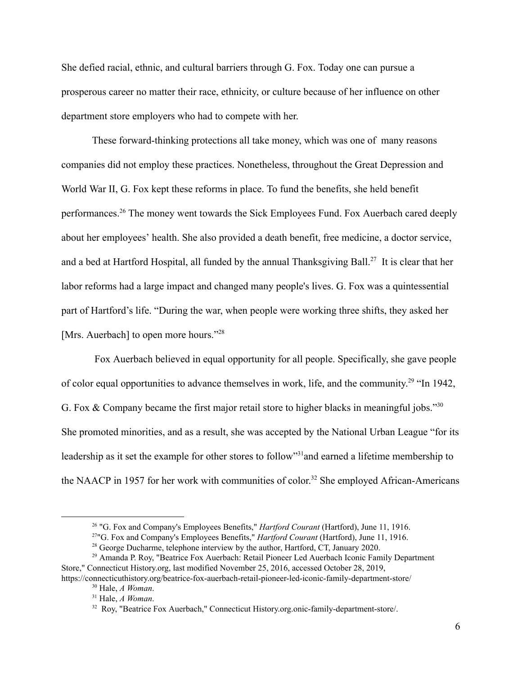She defied racial, ethnic, and cultural barriers through G. Fox. Today one can pursue a prosperous career no matter their race, ethnicity, or culture because of her influence on other department store employers who had to compete with her.

These forward-thinking protections all take money, which was one of many reasons companies did not employ these practices. Nonetheless, throughout the Great Depression and World War II, G. Fox kept these reforms in place. To fund the benefits, she held benefit performances.<sup>26</sup> The money went towards the Sick Employees Fund. Fox Auerbach cared deeply about her employees' health. She also provided a death benefit, free medicine, a doctor service, and a bed at Hartford Hospital, all funded by the annual Thanksgiving Ball.<sup>27</sup> It is clear that her labor reforms had a large impact and changed many people's lives. G. Fox was a quintessential part of Hartford's life. "During the war, when people were working three shifts, they asked her [Mrs. Auerbach] to open more hours."<sup>28</sup>

 Fox Auerbach believed in equal opportunity for all people. Specifically, she gave people of color equal opportunities to advance themselves in work, life, and the community.<sup>29</sup> "In 1942, G. Fox & Company became the first major retail store to higher blacks in meaningful jobs."<sup>30</sup> She promoted minorities, and as a result, she was accepted by the National Urban League "for its leadership as it set the example for other stores to follow"<sup>31</sup> and earned a lifetime membership to the NAACP in 1957 for her work with communities of color.<sup>32</sup> She employed African-Americans

<sup>26</sup> "G. Fox and Company's Employees Benefits," *Hartford Courant* (Hartford), June 11, 1916.

<sup>27</sup>"G. Fox and Company's Employees Benefits," *Hartford Courant* (Hartford), June 11, 1916.

<sup>&</sup>lt;sup>28</sup> George Ducharme, telephone interview by the author, Hartford, CT, January 2020.

<sup>&</sup>lt;sup>29</sup> Amanda P. Roy, "Beatrice Fox Auerbach: Retail Pioneer Led Auerbach Iconic Family Department Store," Connecticut History.org, last modified November 25, 2016, accessed October 28, 2019,

https://connecticuthistory.org/beatrice-fox-auerbach-retail-pioneer-led-iconic-family-department-store/ <sup>30</sup> Hale, *A Woman*.

<sup>31</sup> Hale, *A Woman*.

<sup>32</sup> Roy, "Beatrice Fox Auerbach," Connecticut History.org.onic-family-department-store/.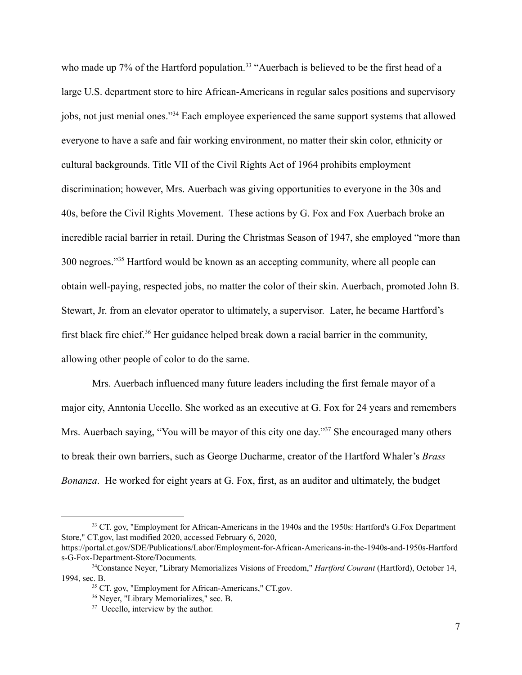who made up 7% of the Hartford population.<sup>33</sup> "Auerbach is believed to be the first head of a large U.S. department store to hire African-Americans in regular sales positions and supervisory jobs, not just menial ones."<sup>34</sup> Each employee experienced the same support systems that allowed everyone to have a safe and fair working environment, no matter their skin color, ethnicity or cultural backgrounds. Title VII of the Civil Rights Act of 1964 prohibits employment discrimination; however, Mrs. Auerbach was giving opportunities to everyone in the 30s and 40s, before the Civil Rights Movement. These actions by G. Fox and Fox Auerbach broke an incredible racial barrier in retail. During the Christmas Season of 1947, she employed "more than 300 negroes."<sup>35</sup> Hartford would be known as an accepting community, where all people can obtain well-paying, respected jobs, no matter the color of their skin. Auerbach, promoted John B. Stewart, Jr. from an elevator operator to ultimately, a supervisor. Later, he became Hartford's first black fire chief.<sup>36</sup> Her guidance helped break down a racial barrier in the community, allowing other people of color to do the same.

Mrs. Auerbach influenced many future leaders including the first female mayor of a major city, Anntonia Uccello. She worked as an executive at G. Fox for 24 years and remembers Mrs. Auerbach saying, "You will be mayor of this city one day."<sup>37</sup> She encouraged many others to break their own barriers, such as George Ducharme, creator of the Hartford Whaler's *Brass Bonanza* . He worked for eight years at G. Fox, first, as an auditor and ultimately, the budget

<sup>&</sup>lt;sup>33</sup> CT. gov, "Employment for African-Americans in the 1940s and the 1950s: Hartford's G.Fox Department Store," CT.gov, last modified 2020, accessed February 6, 2020,

https://portal.ct.gov/SDE/Publications/Labor/Employment-for-African-Americans-in-the-1940s-and-1950s-Hartford s-G-Fox-Department-Store/Documents.

<sup>34</sup>Constance Neyer, "Library Memorializes Visions of Freedom," *Hartford Courant* (Hartford), October 14, 1994, sec. B.

<sup>35</sup> CT. gov, "Employment for African-Americans," CT.gov.

<sup>36</sup> Neyer, "Library Memorializes," sec. B.

<sup>&</sup>lt;sup>37</sup> Uccello, interview by the author.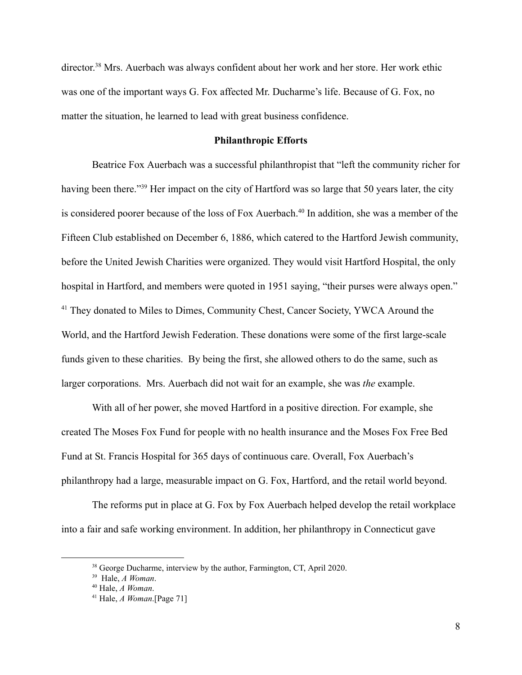director.<sup>38</sup> Mrs. Auerbach was always confident about her work and her store. Her work ethic was one of the important ways G. Fox affected Mr. Ducharme's life. Because of G. Fox, no matter the situation, he learned to lead with great business confidence.

## **Philanthropic Efforts**

Beatrice Fox Auerbach was a successful philanthropist that "left the community richer for having been there."<sup>39</sup> Her impact on the city of Hartford was so large that 50 years later, the city is considered poorer because of the loss of Fox Auerbach.<sup>40</sup> In addition, she was a member of the Fifteen Club established on December 6, 1886, which catered to the Hartford Jewish community, before the United Jewish Charities were organized. They would visit Hartford Hospital, the only hospital in Hartford, and members were quoted in 1951 saying, "their purses were always open." <sup>41</sup> They donated to Miles to Dimes, Community Chest, Cancer Society, YWCA Around the World, and the Hartford Jewish Federation. These donations were some of the first large-scale funds given to these charities. By being the first, she allowed others to do the same, such as larger corporations. Mrs. Auerbach did not wait for an example, she was *the* example.

With all of her power, she moved Hartford in a positive direction. For example, she created The Moses Fox Fund for people with no health insurance and the Moses Fox Free Bed Fund at St. Francis Hospital for 365 days of continuous care. Overall, Fox Auerbach's philanthropy had a large, measurable impact on G. Fox, Hartford, and the retail world beyond.

The reforms put in place at G. Fox by Fox Auerbach helped develop the retail workplace into a fair and safe working environment. In addition, her philanthropy in Connecticut gave

<sup>&</sup>lt;sup>38</sup> George Ducharme, interview by the author, Farmington, CT, April 2020.

<sup>39</sup> Hale, *A Woman*.

<sup>40</sup> Hale, *A Woman*.

<sup>41</sup> Hale, *A Woman*.[Page 71]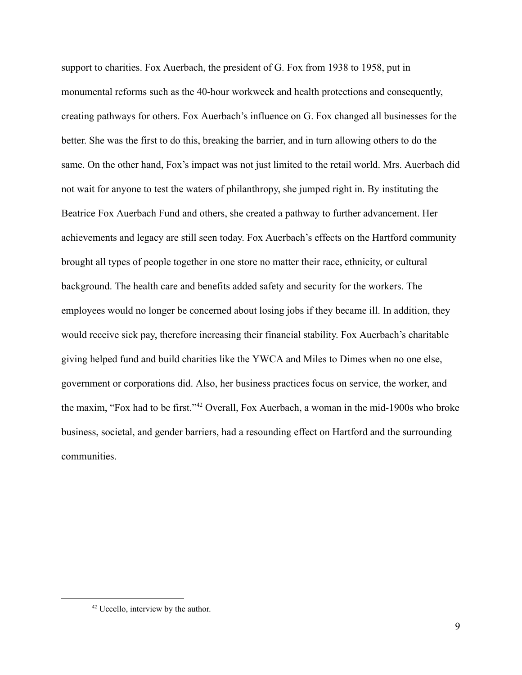support to charities. Fox Auerbach, the president of G. Fox from 1938 to 1958, put in monumental reforms such as the 40-hour workweek and health protections and consequently, creating pathways for others. Fox Auerbach's influence on G. Fox changed all businesses for the better. She was the first to do this, breaking the barrier, and in turn allowing others to do the same. On the other hand, Fox's impact was not just limited to the retail world. Mrs. Auerbach did not wait for anyone to test the waters of philanthropy, she jumped right in. By instituting the Beatrice Fox Auerbach Fund and others, she created a pathway to further advancement. Her achievements and legacy are still seen today. Fox Auerbach's effects on the Hartford community brought all types of people together in one store no matter their race, ethnicity, or cultural background. The health care and benefits added safety and security for the workers. The employees would no longer be concerned about losing jobs if they became ill. In addition, they would receive sick pay, therefore increasing their financial stability. Fox Auerbach's charitable giving helped fund and build charities like the YWCA and Miles to Dimes when no one else, government or corporations did. Also, her business practices focus on service, the worker, and the maxim, "Fox had to be first."<sup>42</sup> Overall, Fox Auerbach, a woman in the mid-1900s who broke business, societal, and gender barriers, had a resounding effect on Hartford and the surrounding communities.

<sup>&</sup>lt;sup>42</sup> Uccello, interview by the author.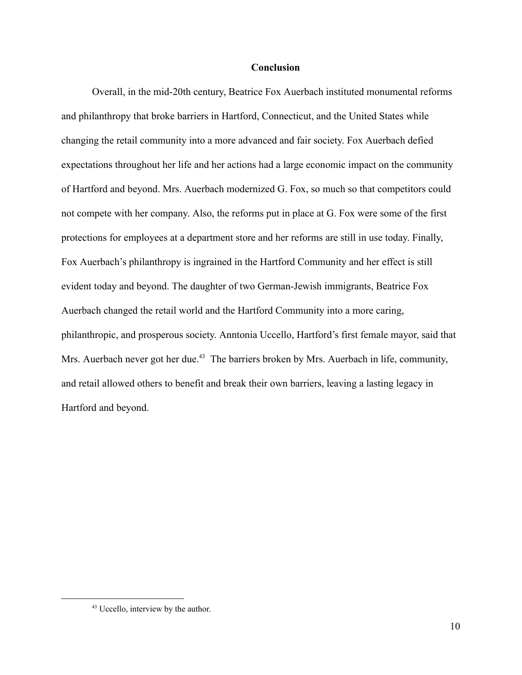#### **Conclusion**

Overall, in the mid-20th century, Beatrice Fox Auerbach instituted monumental reforms and philanthropy that broke barriers in Hartford, Connecticut, and the United States while changing the retail community into a more advanced and fair society. Fox Auerbach defied expectations throughout her life and her actions had a large economic impact on the community of Hartford and beyond. Mrs. Auerbach modernized G. Fox, so much so that competitors could not compete with her company. Also, the reforms put in place at G. Fox were some of the first protections for employees at a department store and her reforms are still in use today. Finally, Fox Auerbach's philanthropy is ingrained in the Hartford Community and her effect is still evident today and beyond. The daughter of two German-Jewish immigrants, Beatrice Fox Auerbach changed the retail world and the Hartford Community into a more caring, philanthropic, and prosperous society. Anntonia Uccello, Hartford's first female mayor, said that Mrs. Auerbach never got her due.<sup>43</sup> The barriers broken by Mrs. Auerbach in life, community, and retail allowed others to benefit and break their own barriers, leaving a lasting legacy in Hartford and beyond.

<sup>&</sup>lt;sup>43</sup> Uccello, interview by the author.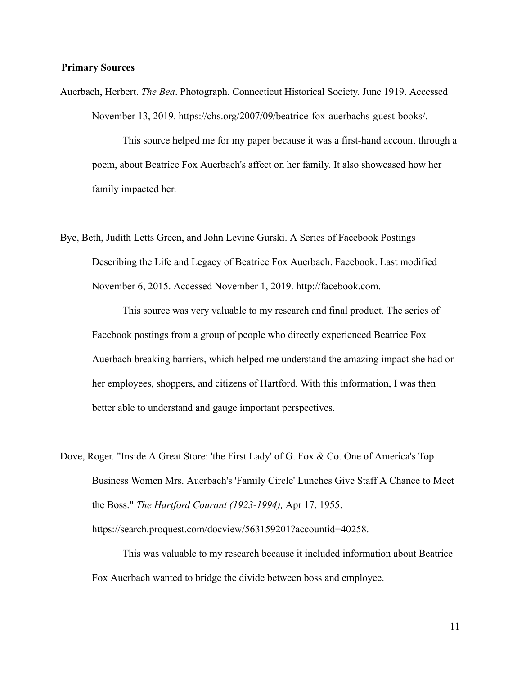# **Primary Sources**

Auerbach, Herbert. *The Bea* . Photograph. Connecticut Historical Society. June 1919. Accessed November 13, 2019. https://chs.org/2007/09/beatrice-fox-auerbachs-guest-books/.

 This source helped me for my paper because it was a first-hand account through a poem, about Beatrice Fox Auerbach's affect on her family. It also showcased how her family impacted her.

Bye, Beth, Judith Letts Green, and John Levine Gurski. A Series of Facebook Postings Describing the Life and Legacy of Beatrice Fox Auerbach. Facebook. Last modified November 6, 2015. Accessed November 1, 2019. http://facebook.com.

 This source was very valuable to my research and final product. The series of Facebook postings from a group of people who directly experienced Beatrice Fox Auerbach breaking barriers, which helped me understand the amazing impact she had on her employees, shoppers, and citizens of Hartford. With this information, I was then better able to understand and gauge important perspectives.

Dove, Roger. "Inside A Great Store: 'the First Lady' of G. Fox & Co. One of America's Top Business Women Mrs. Auerbach's 'Family Circle' Lunches Give Staff A Chance to Meet the Boss." *The Hartford Courant (1923-1994),* Apr 17, 1955.

https://search.proquest.com/docview/563159201?accountid=40258.

 This was valuable to my research because it included information about Beatrice Fox Auerbach wanted to bridge the divide between boss and employee.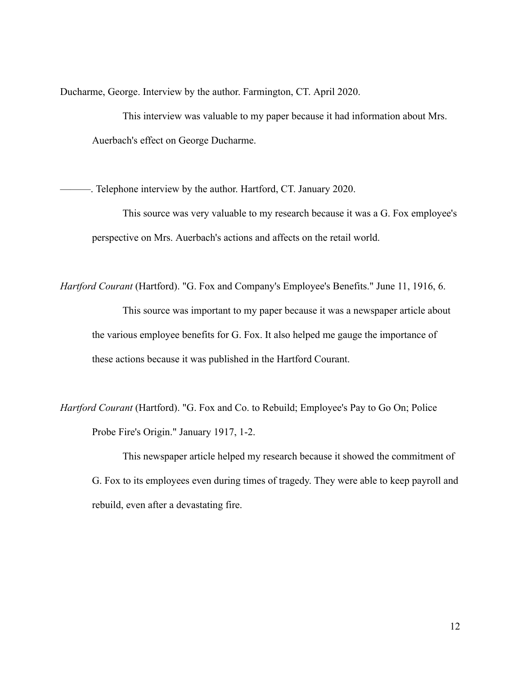Ducharme, George. Interview by the author. Farmington, CT. April 2020.

 This interview was valuable to my paper because it had information about Mrs. Auerbach's effect on George Ducharme.

———. Telephone interview by the author. Hartford, CT. January 2020.

 This source was very valuable to my research because it was a G. Fox employee's perspective on Mrs. Auerbach's actions and affects on the retail world.

*Hartford Courant* (Hartford). "G. Fox and Company's Employee's Benefits." June 11, 1916, 6. This source was important to my paper because it was a newspaper article about the various employee benefits for G. Fox. It also helped me gauge the importance of these actions because it was published in the Hartford Courant.

*Hartford Courant* (Hartford). "G. Fox and Co. to Rebuild; Employee's Pay to Go On; Police Probe Fire's Origin." January 1917, 1-2.

 This newspaper article helped my research because it showed the commitment of G. Fox to its employees even during times of tragedy. They were able to keep payroll and rebuild, even after a devastating fire.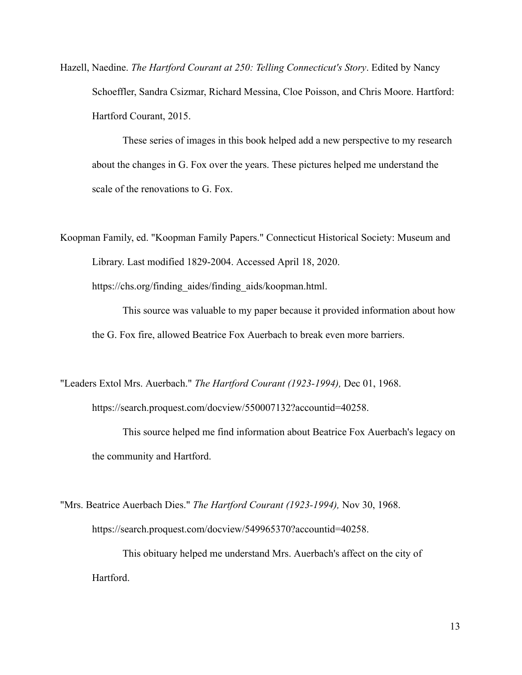Hazell, Naedine. *The Hartford Courant at 250: Telling Connecticut's Story*. Edited by Nancy Schoeffler, Sandra Csizmar, Richard Messina, Cloe Poisson, and Chris Moore. Hartford: Hartford Courant, 2015.

 These series of images in this book helped add a new perspective to my research about the changes in G. Fox over the years. These pictures helped me understand the scale of the renovations to G. Fox.

Koopman Family, ed. "Koopman Family Papers." Connecticut Historical Society: Museum and Library. Last modified 1829-2004. Accessed April 18, 2020.

https://chs.org/finding\_aides/finding\_aids/koopman.html.

 This source was valuable to my paper because it provided information about how the G. Fox fire, allowed Beatrice Fox Auerbach to break even more barriers.

"Leaders Extol Mrs. Auerbach." *The Hartford Courant (1923-1994),* Dec 01, 1968.

https://search.proquest.com/docview/550007132?accountid=40258.

 This source helped me find information about Beatrice Fox Auerbach's legacy on the community and Hartford.

"Mrs. Beatrice Auerbach Dies." *The Hartford Courant (1923-1994),* Nov 30, 1968. https://search.proquest.com/docview/549965370?accountid=40258.

 This obituary helped me understand Mrs. Auerbach's affect on the city of Hartford.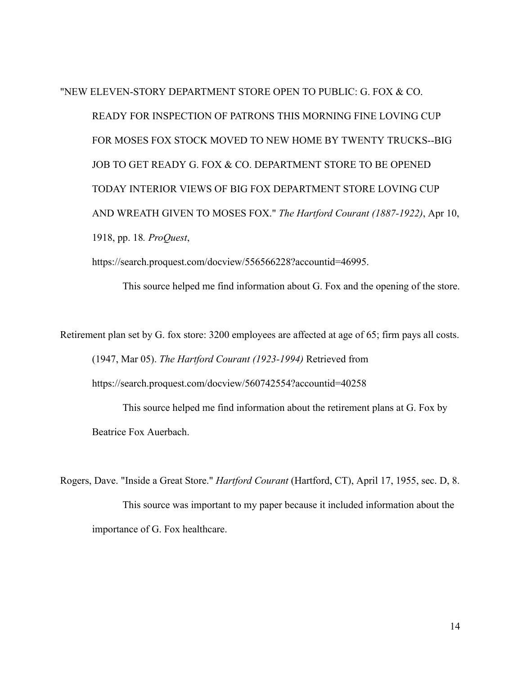"NEW ELEVEN-STORY DEPARTMENT STORE OPEN TO PUBLIC: G. FOX & CO. READY FOR INSPECTION OF PATRONS THIS MORNING FINE LOVING CUP FOR MOSES FOX STOCK MOVED TO NEW HOME BY TWENTY TRUCKS--BIG JOB TO GET READY G. FOX & CO. DEPARTMENT STORE TO BE OPENED TODAY INTERIOR VIEWS OF BIG FOX DEPARTMENT STORE LOVING CUP AND WREATH GIVEN TO MOSES FOX." *The Hartford Courant (1887-1922)* , Apr 10, 1918, pp. 18 *. ProQuest* ,

https://search.proquest.com/docview/556566228?accountid=46995.

This source helped me find information about G. Fox and the opening of the store.

Retirement plan set by G. fox store: 3200 employees are affected at age of 65; firm pays all costs. (1947, Mar 05). *The Hartford Courant (1923-1994)* Retrieved from https://search.proquest.com/docview/560742554?accountid=40258

 This source helped me find information about the retirement plans at G. Fox by Beatrice Fox Auerbach.

Rogers, Dave. "Inside a Great Store." *Hartford Courant* (Hartford, CT), April 17, 1955, sec. D, 8. This source was important to my paper because it included information about the importance of G. Fox healthcare.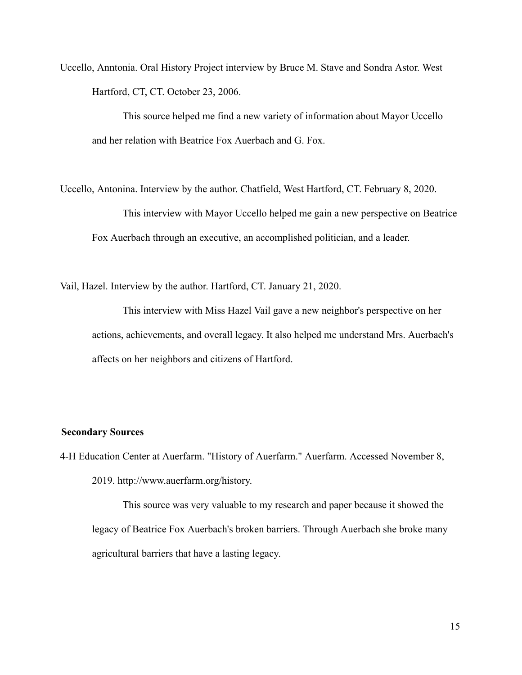Uccello, Anntonia. Oral History Project interview by Bruce M. Stave and Sondra Astor. West Hartford, CT, CT. October 23, 2006.

 This source helped me find a new variety of information about Mayor Uccello and her relation with Beatrice Fox Auerbach and G. Fox.

Uccello, Antonina. Interview by the author. Chatfield, West Hartford, CT. February 8, 2020. This interview with Mayor Uccello helped me gain a new perspective on Beatrice Fox Auerbach through an executive, an accomplished politician, and a leader.

Vail, Hazel. Interview by the author. Hartford, CT. January 21, 2020.

 This interview with Miss Hazel Vail gave a new neighbor's perspective on her actions, achievements, and overall legacy. It also helped me understand Mrs. Auerbach's affects on her neighbors and citizens of Hartford.

### **Secondary Sources**

4-H Education Center at Auerfarm. "History of Auerfarm." Auerfarm. Accessed November 8, 2019. http://www.auerfarm.org/history.

 This source was very valuable to my research and paper because it showed the legacy of Beatrice Fox Auerbach's broken barriers. Through Auerbach she broke many agricultural barriers that have a lasting legacy.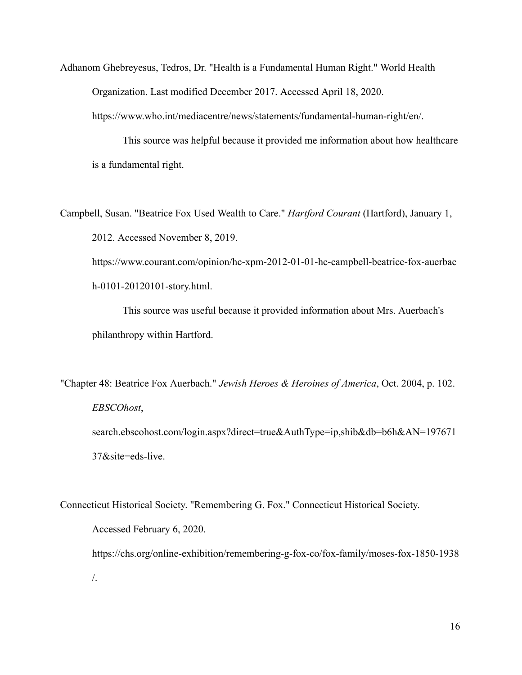Adhanom Ghebreyesus, Tedros, Dr. "Health is a Fundamental Human Right." World Health Organization. Last modified December 2017. Accessed April 18, 2020.

https://www.who.int/mediacentre/news/statements/fundamental-human-right/en/.

 This source was helpful because it provided me information about how healthcare is a fundamental right.

Campbell, Susan. "Beatrice Fox Used Wealth to Care." *Hartford Courant* (Hartford), January 1, 2012. Accessed November 8, 2019.

https://www.courant.com/opinion/hc-xpm-2012-01-01-hc-campbell-beatrice-fox-auerbac h-0101-20120101-story.html.

 This source was useful because it provided information about Mrs. Auerbach's philanthropy within Hartford.

"Chapter 48: Beatrice Fox Auerbach." *Jewish Heroes & Heroines of America* , Oct. 2004, p. 102. *EBSCOhost* , search.ebscohost.com/login.aspx?direct=true&AuthType=ip,shib&db=b6h&AN=197671

37&site=eds-live.

Connecticut Historical Society. "Remembering G. Fox." Connecticut Historical Society. Accessed February 6, 2020. https://chs.org/online-exhibition/remembering-g-fox-co/fox-family/moses-fox-1850-1938 /.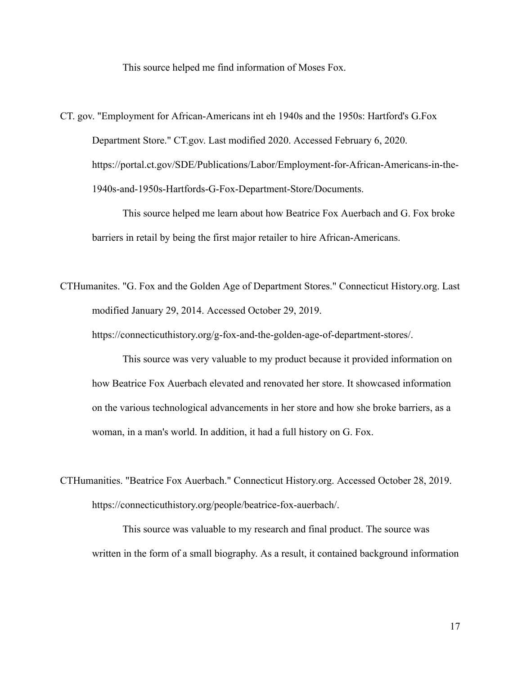This source helped me find information of Moses Fox.

CT. gov. "Employment for African-Americans int eh 1940s and the 1950s: Hartford's G.Fox Department Store." CT.gov. Last modified 2020. Accessed February 6, 2020. https://portal.ct.gov/SDE/Publications/Labor/Employment-for-African-Americans-in-the-1940s-and-1950s-Hartfords-G-Fox-Department-Store/Documents.

 This source helped me learn about how Beatrice Fox Auerbach and G. Fox broke barriers in retail by being the first major retailer to hire African-Americans.

CTHumanites. "G. Fox and the Golden Age of Department Stores." Connecticut History.org. Last modified January 29, 2014. Accessed October 29, 2019.

https://connecticuthistory.org/g-fox-and-the-golden-age-of-department-stores/.

 This source was very valuable to my product because it provided information on how Beatrice Fox Auerbach elevated and renovated her store. It showcased information on the various technological advancements in her store and how she broke barriers, as a woman, in a man's world. In addition, it had a full history on G. Fox.

CTHumanities. "Beatrice Fox Auerbach." Connecticut History.org. Accessed October 28, 2019. https://connecticuthistory.org/people/beatrice-fox-auerbach/.

 This source was valuable to my research and final product. The source was written in the form of a small biography. As a result, it contained background information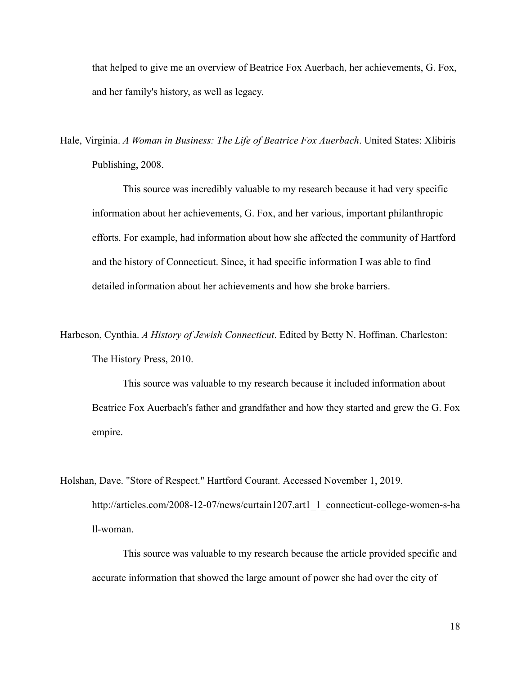that helped to give me an overview of Beatrice Fox Auerbach, her achievements, G. Fox, and her family's history, as well as legacy.

Hale, Virginia. *A Woman in Business: The Life of Beatrice Fox Auerbach* . United States: Xlibiris Publishing, 2008.

 This source was incredibly valuable to my research because it had very specific information about her achievements, G. Fox, and her various, important philanthropic efforts. For example, had information about how she affected the community of Hartford and the history of Connecticut. Since, it had specific information I was able to find detailed information about her achievements and how she broke barriers.

Harbeson, Cynthia. *A History of Jewish Connecticut* . Edited by Betty N. Hoffman. Charleston: The History Press, 2010.

 This source was valuable to my research because it included information about Beatrice Fox Auerbach's father and grandfather and how they started and grew the G. Fox empire.

Holshan, Dave. "Store of Respect." Hartford Courant. Accessed November 1, 2019. http://articles.com/2008-12-07/news/curtain1207.art1\_1\_connecticut-college-women-s-ha ll-woman.

 This source was valuable to my research because the article provided specific and accurate information that showed the large amount of power she had over the city of

18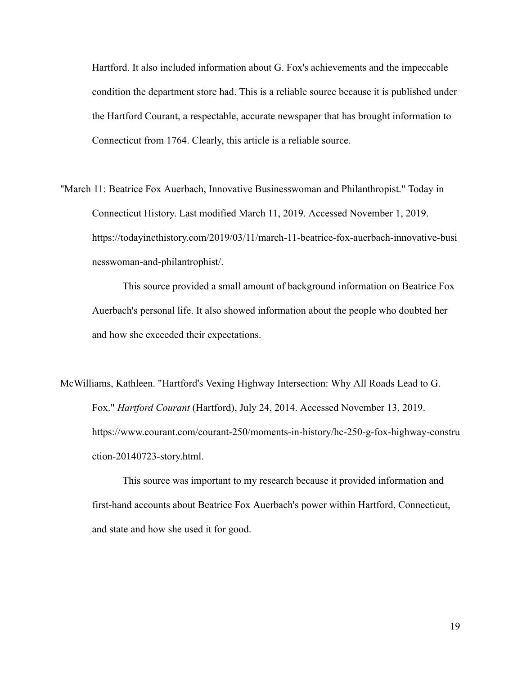Hartford. It also included information about G. Fox's achievements and the impeccable condition the department store had. This is a reliable source because it is published under the Hartford Courant, a respectable, accurate newspaper that has brought information to Connecticut from 1764. Clearly, this article is a reliable source.

"March 11: Beatrice Fox Auerbach, Innovative Businesswoman and Philanthropist." Today in Connecticut History. Last modified March 11, 2019. Accessed November 1, 2019. https://todayincthistory.com/2019/03/11/march-11-beatrice-fox-auerbach-innovative-busi nesswoman-and-philantrophist/.

 This source provided a small amount of background information on Beatrice Fox Auerbach's personal life. It also showed information about the people who doubted her and how she exceeded their expectations.

McWilliams, Kathleen. "Hartford's Vexing Highway Intersection: Why All Roads Lead to G. Fox." *Hartford Courant* (Hartford), July 24, 2014. Accessed November 13, 2019. https://www.courant.com/courant-250/moments-in-history/hc-250-g-fox-highway-constru ction-20140723-story.html.

 This source was important to my research because it provided information and first-hand accounts about Beatrice Fox Auerbach's power within Hartford, Connecticut, and state and how she used it for good.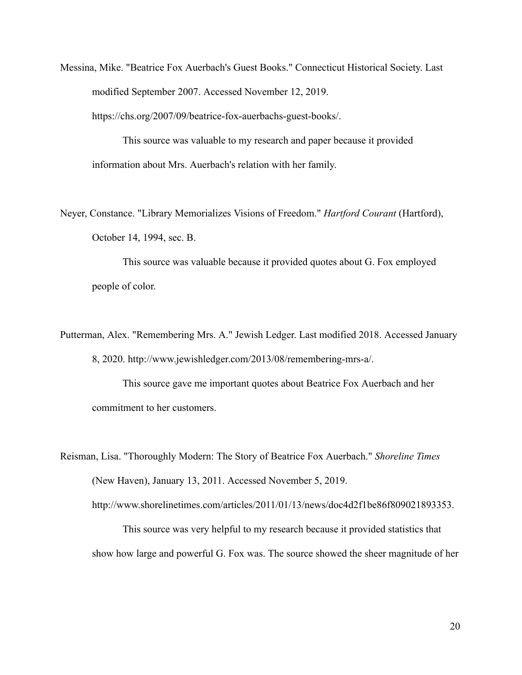Messina, Mike. "Beatrice Fox Auerbach's Guest Books." Connecticut Historical Society. Last modified September 2007. Accessed November 12, 2019.

https://chs.org/2007/09/beatrice-fox-auerbachs-guest-books/.

 This source was valuable to my research and paper because it provided information about Mrs. Auerbach's relation with her family.

Neyer, Constance. "Library Memorializes Visions of Freedom." *Hartford Courant* (Hartford), October 14, 1994, sec. B.

 This source was valuable because it provided quotes about G. Fox employed people of color.

Putterman, Alex. "Remembering Mrs. A." Jewish Ledger. Last modified 2018. Accessed January 8, 2020. http://www.jewishledger.com/2013/08/remembering-mrs-a/.

 This source gave me important quotes about Beatrice Fox Auerbach and her commitment to her customers.

Reisman, Lisa. "Thoroughly Modern: The Story of Beatrice Fox Auerbach." *Shoreline Times*  (New Haven), January 13, 2011. Accessed November 5, 2019. http://www.shorelinetimes.com/articles/2011/01/13/news/doc4d2f1be86f809021893353.

 This source was very helpful to my research because it provided statistics that show how large and powerful G. Fox was. The source showed the sheer magnitude of her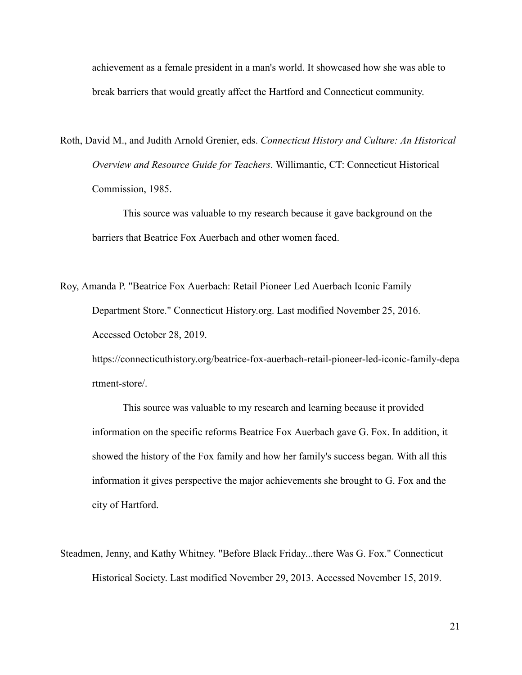achievement as a female president in a man's world. It showcased how she was able to break barriers that would greatly affect the Hartford and Connecticut community.

Roth, David M., and Judith Arnold Grenier, eds. *Connecticut History and Culture: An Historical Overview and Resource Guide for Teachers* . Willimantic, CT: Connecticut Historical Commission, 1985.

 This source was valuable to my research because it gave background on the barriers that Beatrice Fox Auerbach and other women faced.

Roy, Amanda P. "Beatrice Fox Auerbach: Retail Pioneer Led Auerbach Iconic Family Department Store." Connecticut History.org. Last modified November 25, 2016. Accessed October 28, 2019.

https://connecticuthistory.org/beatrice-fox-auerbach-retail-pioneer-led-iconic-family-depa rtment-store/.

 This source was valuable to my research and learning because it provided information on the specific reforms Beatrice Fox Auerbach gave G. Fox. In addition, it showed the history of the Fox family and how her family's success began. With all this information it gives perspective the major achievements she brought to G. Fox and the city of Hartford.

Steadmen, Jenny, and Kathy Whitney. "Before Black Friday...there Was G. Fox." Connecticut Historical Society. Last modified November 29, 2013. Accessed November 15, 2019.